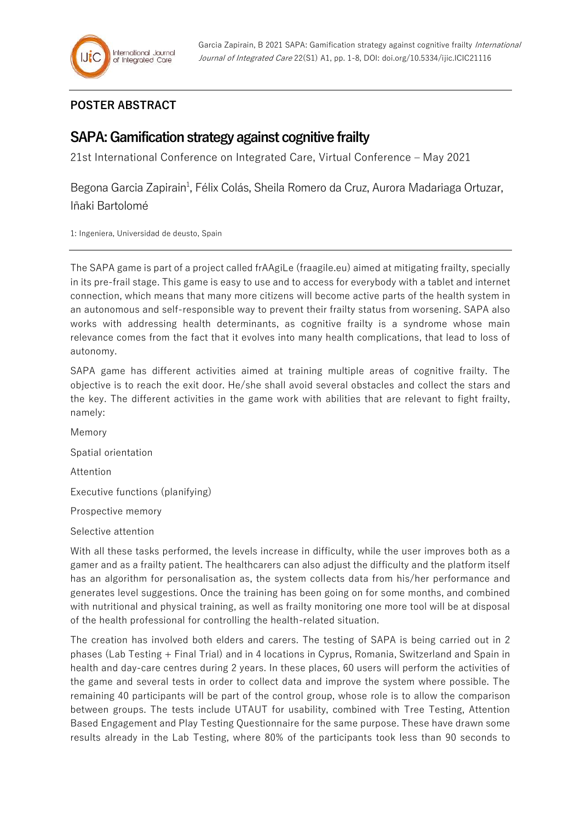## **POSTER ABSTRACT**

## **SAPA: Gamification strategy against cognitive frailty**

21st International Conference on Integrated Care, Virtual Conference – May 2021

Begona Garcia Zapirain<sup>1</sup>, Félix Colás, Sheila Romero da Cruz, Aurora Madariaga Ortuzar, Iñaki Bartolomé

1: Ingeniera, Universidad de deusto, Spain

The SAPA game is part of a project called frAAgiLe (fraagile.eu) aimed at mitigating frailty, specially in its pre-frail stage. This game is easy to use and to access for everybody with a tablet and internet connection, which means that many more citizens will become active parts of the health system in an autonomous and self-responsible way to prevent their frailty status from worsening. SAPA also works with addressing health determinants, as cognitive frailty is a syndrome whose main relevance comes from the fact that it evolves into many health complications, that lead to loss of autonomy.

SAPA game has different activities aimed at training multiple areas of cognitive frailty. The objective is to reach the exit door. He/she shall avoid several obstacles and collect the stars and the key. The different activities in the game work with abilities that are relevant to fight frailty, namely:

Memory Spatial orientation Attention Executive functions (planifying) Prospective memory Selective attention

With all these tasks performed, the levels increase in difficulty, while the user improves both as a gamer and as a frailty patient. The healthcarers can also adjust the difficulty and the platform itself has an algorithm for personalisation as, the system collects data from his/her performance and generates level suggestions. Once the training has been going on for some months, and combined with nutritional and physical training, as well as frailty monitoring one more tool will be at disposal of the health professional for controlling the health-related situation.

The creation has involved both elders and carers. The testing of SAPA is being carried out in 2 phases (Lab Testing + Final Trial) and in 4 locations in Cyprus, Romania, Switzerland and Spain in health and day-care centres during 2 years. In these places, 60 users will perform the activities of the game and several tests in order to collect data and improve the system where possible. The remaining 40 participants will be part of the control group, whose role is to allow the comparison between groups. The tests include UTAUT for usability, combined with Tree Testing, Attention Based Engagement and Play Testing Questionnaire for the same purpose. These have drawn some results already in the Lab Testing, where 80% of the participants took less than 90 seconds to